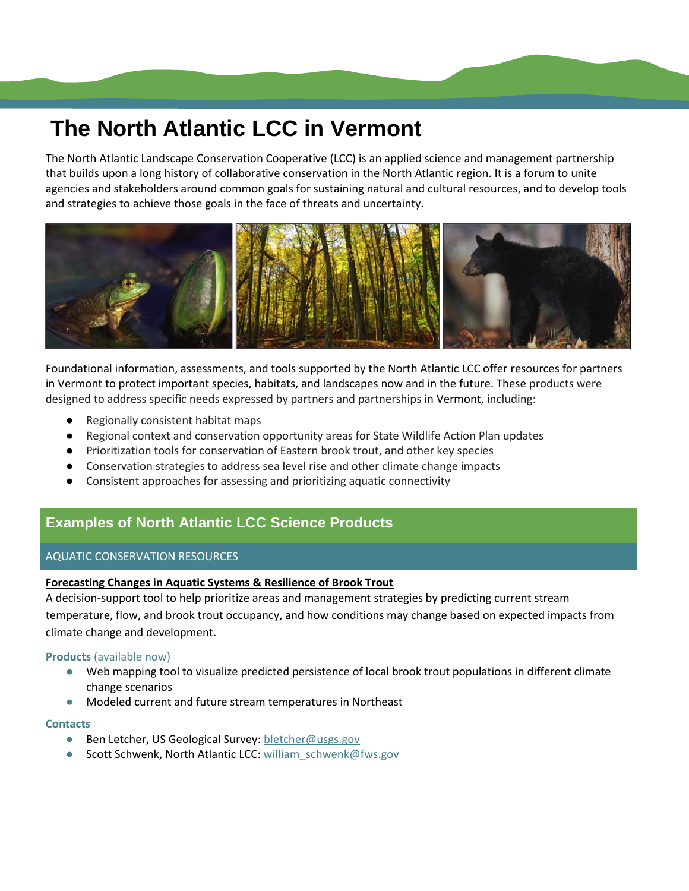# **The North Atlantic LCC in Vermont**

The North Atlantic Landscape Conservation Cooperative (LCC) is an applied science and management partnership that builds upon a long history of collaborative conservation in the North Atlantic region. It is a forum to unite agencies and stakeholders around common goals for sustaining natural and cultural resources, and to develop tools and strategies to achieve those goals in the face of threats and uncertainty.



Foundational information, assessments, and tools supported by the North Atlantic LCC offer resources for partners in Vermont to protect important species, habitats, and landscapes now and in the future. These products were designed to address specific needs expressed by partners and partnerships in Vermont, including:

- Regionally consistent habitat maps
- Regional context and conservation opportunity areas for State Wildlife Action Plan updates
- Prioritization tools for conservation of Eastern brook trout, and other key species
- Conservation strategies to address sea level rise and other climate change impacts
- Consistent approaches for assessing and prioritizing aquatic connectivity

# **Examples of North Atlantic LCC Science Products**

## AQUATIC CONSERVATION RESOURCES

## **Forecasting Changes in Aquatic Systems & Resilience of Brook Trout**

A decision-support tool to help prioritize areas and management strategies by predicting current stream temperature, flow, and brook trout occupancy, and how conditions may change based on expected impacts from climate change and development.

## **Products** (available now)

- Web mapping tool to visualize predicted persistence of local brook trout populations in different climate change scenarios
- Modeled current and future stream temperatures in Northeast

#### **Contacts**

- Ben Letcher, US Geological Survey: [bletcher@usgs.gov](mailto:bletcher@usgs.gov)
- Scott Schwenk, North Atlantic LCC: [william\\_schwenk@fws.gov](mailto:william_schwenk@fws.gov)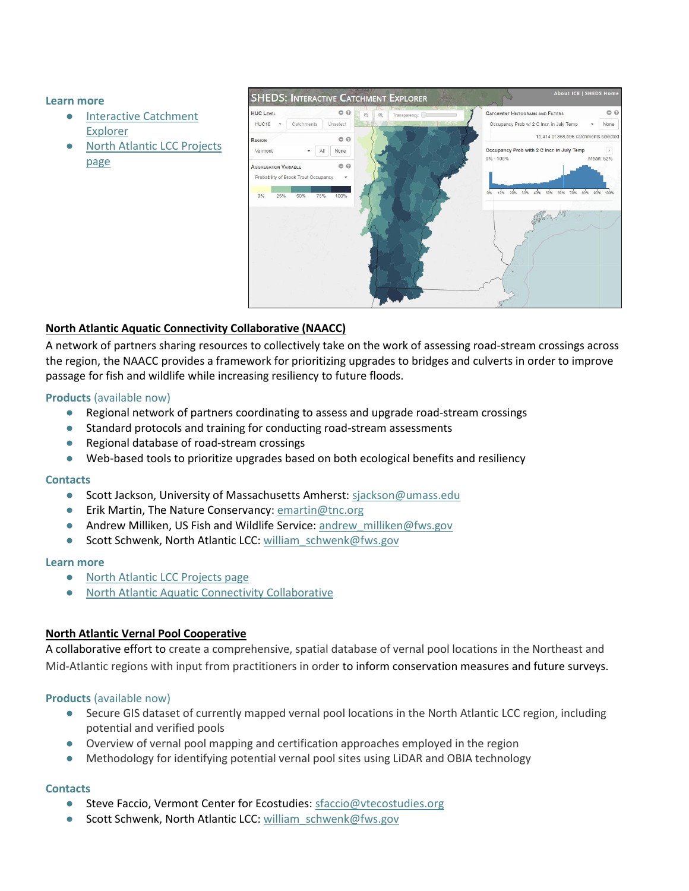#### **Learn more**

- [Interactive Catchment](http://ice.ecosheds.org/)  [Explorer](http://ice.ecosheds.org/)
- [North Atlantic LCC Projects](http://northatlanticlcc.org/projects/brook-trout-and-stream-temp-modeling/brook-trout-and-stream-temp-modeling)  [page](http://northatlanticlcc.org/projects/brook-trout-and-stream-temp-modeling/brook-trout-and-stream-temp-modeling)



## **North Atlantic Aquatic Connectivity Collaborative (NAACC)**

A network of partners sharing resources to collectively take on the work of assessing road-stream crossings across the region, the NAACC provides a framework for prioritizing upgrades to bridges and culverts in order to improve passage for fish and wildlife while increasing resiliency to future floods.

## **Products** (available now)

- Regional network of partners coordinating to assess and upgrade road-stream crossings
- Standard protocols and training for conducting road-stream assessments
- Regional database of road-stream crossings
- Web-based tools to prioritize upgrades based on both ecological benefits and resiliency

## **Contacts**

- Scott Jackson, University of Massachusetts Amherst: [sjackson@umass.edu](mailto:sjackson@umass.edu)
- Erik Martin, The Nature Conservancy: [emartin@tnc.org](mailto:emartin@tnc.org)
- Andrew Milliken, US Fish and Wildlife Service: [andrew\\_milliken@fws.gov](mailto:andrew_milliken@fws.gov)
- Scott Schwenk, North Atlantic LCC: william schwenk@fws.gov

## **Learn more**

- [North Atlantic LCC Projects page](http://northatlanticlcc.org/projects/aquatic-connectivity/restoring-aquatic-connectivity-and-increasing-flood-resilience)
- [North Atlantic Aquatic Connectivity Collaborative](http://www.streamcontinuity.org/)

## **North Atlantic Vernal Pool Cooperative**

A collaborative effort to create a comprehensive, spatial database of vernal pool locations in the Northeast and Mid-Atlantic regions with input from practitioners in order to inform conservation measures and future surveys.

## **Products** (available now)

- Secure GIS dataset of currently mapped vernal pool locations in the North Atlantic LCC region, including potential and verified pools
- Overview of vernal pool mapping and certification approaches employed in the region
- Methodology for identifying potential vernal pool sites using LiDAR and OBIA technology

## **Contacts**

- Steve Faccio, Vermont Center for Ecostudies: sfaccio@vtecostudies.org
- Scott Schwenk, North Atlantic LCC: william schwenk@fws.gov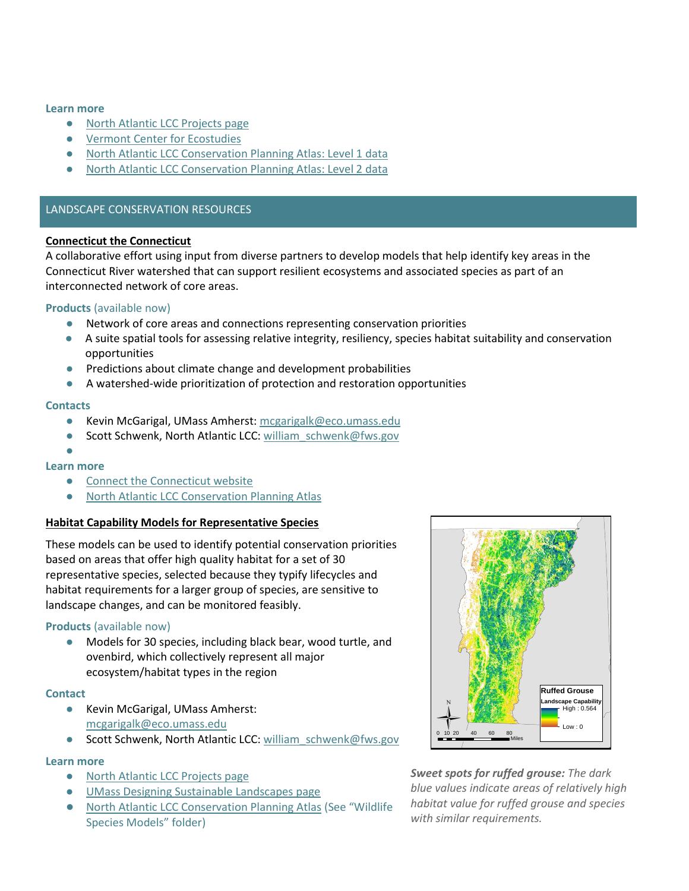#### **Learn more**

- [North Atlantic LCC Projects page](http://northatlanticlcc.org/projects/vernal-pools/vernal-pool-mapping-and-conservation)
- [Vermont Center for Ecostudies](http://vtecostudies.org/projects/forests/vernal-pool-conservation/north-atlantic-vernal-pool-data-cooperative/)
- [North Atlantic LCC Conservation Planning Atlas: Level 1 data](http://nalcc.databasin.org/datasets/2598ed7c6e16461d9e4478967ad3f992)
- **[North Atlantic LCC Conservation Planning Atlas: Level 2 data](http://nalcc.databasin.org/datasets/b46351fa598549e6a7c6073f490226ce)**

#### LANDSCAPE CONSERVATION RESOURCES

#### **Connecticut the Connecticut**

A collaborative effort using input from diverse partners to develop models that help identify key areas in the Connecticut River watershed that can support resilient ecosystems and associated species as part of an interconnected network of core areas.

#### **Products** (available now)

- Network of core areas and connections representing conservation priorities
- A suite spatial tools for assessing relative integrity, resiliency, species habitat suitability and conservation opportunities
- Predictions about climate change and development probabilities
- A watershed-wide prioritization of protection and restoration opportunities

#### **Contacts**

- Kevin McGarigal, UMass Amherst[: mcgarigalk@eco.umass.edu](mailto:mcgarigalk@eco.umass.edu)
- Scott Schwenk, North Atlantic LCC: william schwenk@fws.gov

#### ● **Learn more**

- [Connect the Connecticut website](http://www.connecttheconnecticut.org/)
- [North Atlantic LCC Conservation Planning Atlas](http://nalcc.databasin.org/galleries/e51d8d30bb1c48329326d24160fbf832)

#### **Habitat Capability Models for Representative Species**

These models can be used to identify potential conservation priorities based on areas that offer high quality habitat for a set of 30 representative species, selected because they typify lifecycles and habitat requirements for a larger group of species, are sensitive to landscape changes, and can be monitored feasibly.

#### **Products** (available now)

● Models for 30 species, including black bear, wood turtle, and ovenbird, which collectively represent all major ecosystem/habitat types in the region

#### **Contact**

- Kevin McGarigal, UMass Amherst: [mcgarigalk@eco.umass.edu](mailto:mcgarigalk@eco.umass.edu)
- Scott Schwenk, North Atlantic LCC: william schwenk@fws.gov

#### **Learn more**

- [North Atlantic LCC Projects page](http://northatlanticlcc.org/projects/designing-sustainable-landscapes/designing-sustainable-landscapes)
- [UMass Designing Sustainable Landscapes page](http://jamba.provost.ads.umass.edu/web/lcc/DSL_documentation_species.pdf)
- [North Atlantic LCC Conservation Planning Atlas](http://nalcc.databasin.org/galleries/dc2f56fa047144f0a9659c3709e022f2) (See "Wildlife Species Models" folder)



*Sweet spots for ruffed grouse: The dark blue values indicate areas of relatively high habitat value for ruffed grouse and species with similar requirements.*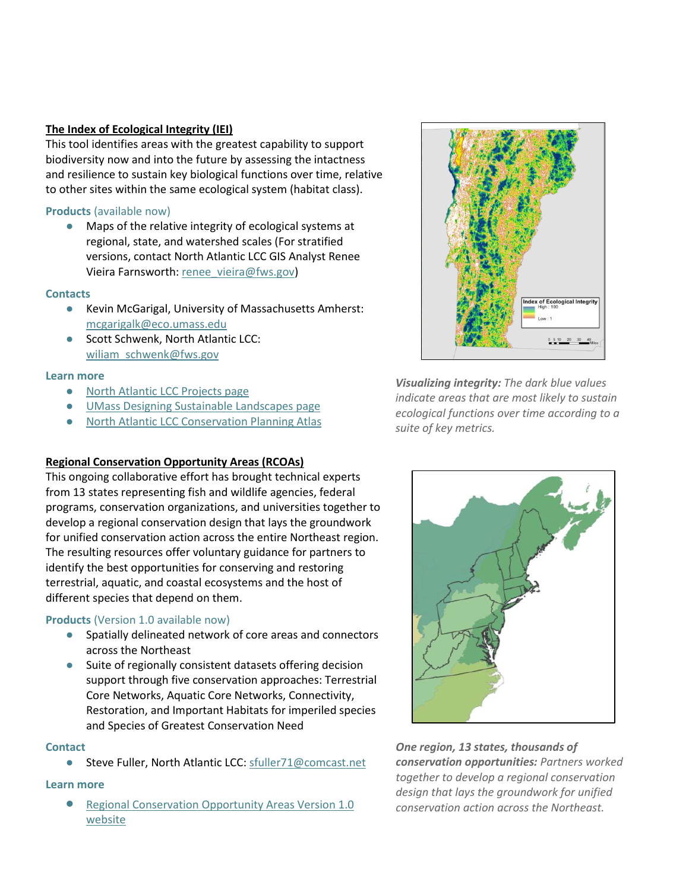## **The Index of Ecological Integrity (IEI)**

This tool identifies areas with the greatest capability to support biodiversity now and into the future by assessing the intactness and resilience to sustain key biological functions over time, relative to other sites within the same ecological system (habitat class).

## **Products** (available now)

● Maps of the relative integrity of ecological systems at regional, state, and watershed scales (For stratified versions, contact North Atlantic LCC GIS Analyst Renee Vieira Farnsworth[: renee\\_vieira@fws.gov\)](mailto:renee_vieira@fws.gov)

## **Contacts**

- Kevin McGarigal, University of Massachusetts Amherst: [mcgarigalk@eco.umass.edu](mailto:mcgarigalk@eco.umass.edu)
- Scott Schwenk, North Atlantic LCC: [wiliam\\_schwenk@fws.gov](mailto:wiliam_schwenk@fws.gov)

## **Learn more**

- [North Atlantic LCC Projects page](http://northatlanticlcc.org/projects/designing-sustainable-landscapes/designing-sustainable-landscapes)
- [UMass Designing Sustainable Landscapes page](http://jamba.provost.ads.umass.edu/web/lcc/DSL_documentation_integrity.pdf)
- **[North Atlantic LCC Conservation Planning Atlas](http://nalcc.databasin.org/datasets/af3a93f96d3040ac8c57ce61f47fc864)**

## **Regional Conservation Opportunity Areas (RCOAs)**

This ongoing collaborative effort has brought technical experts from 13 states representing fish and wildlife agencies, federal programs, conservation organizations, and universities together to develop a regional conservation design that lays the groundwork for unified conservation action across the entire Northeast region. The resulting resources offer voluntary guidance for partners to identify the best opportunities for conserving and restoring terrestrial, aquatic, and coastal ecosystems and the host of different species that depend on them.

## **Products** (Version 1.0 available now)

- Spatially delineated network of core areas and connectors across the Northeast
- Suite of regionally consistent datasets offering decision support through five conservation approaches: Terrestrial Core Networks, Aquatic Core Networks, Connectivity, Restoration, and Important Habitats for imperiled species and Species of Greatest Conservation Need

## **Contact**

● Steve Fuller, North Atlantic LCC[: sfuller71@comcast.net](mailto:sfuller71@comcast.net)

## **Learn more**

**• Regional Conservation Opportunity Areas Version 1.0** [website](http://rcoa.cicapps.org/)



*Visualizing integrity: The dark blue values indicate areas that are most likely to sustain ecological functions over time according to a suite of key metrics.*



*One region, 13 states, thousands of conservation opportunities: Partners worked together to develop a regional conservation design that lays the groundwork for unified conservation action across the Northeast.*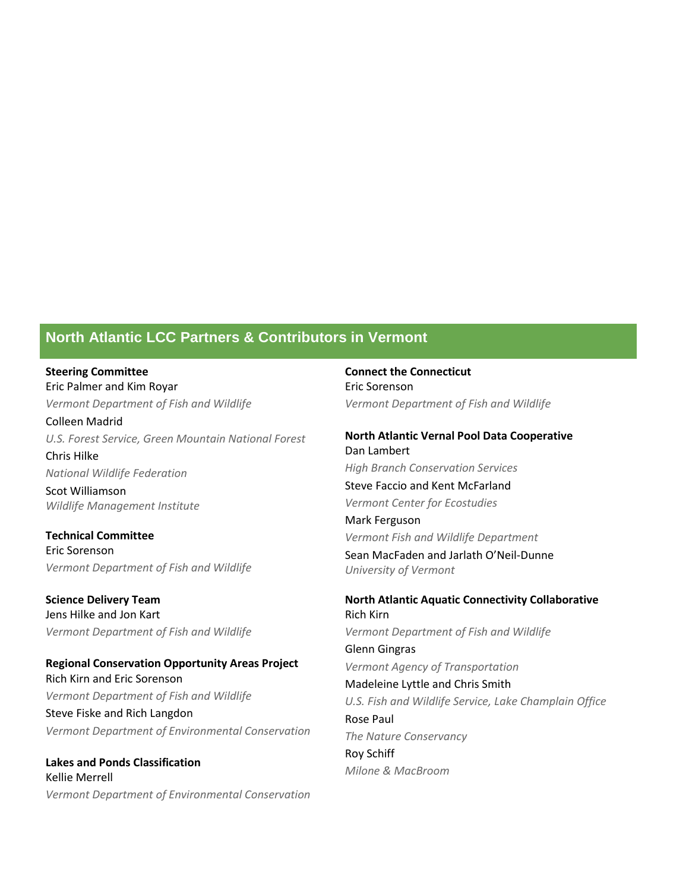## **North Atlantic LCC Partners & Contributors in Vermont**

**Steering Committee** Eric Palmer and Kim Royar *Vermont Department of Fish and Wildlife* Colleen Madrid *U.S. Forest Service, Green Mountain National Forest* Chris Hilke *National Wildlife Federation* Scot Williamson *Wildlife Management Institute*

**Technical Committee** Eric Sorenson *Vermont Department of Fish and Wildlife*

**Science Delivery Team** Jens Hilke and Jon Kart *Vermont Department of Fish and Wildlife*

**Regional Conservation Opportunity Areas Project** Rich Kirn and Eric Sorenson *Vermont Department of Fish and Wildlife* Steve Fiske and Rich Langdon *Vermont Department of Environmental Conservation*

**Lakes and Ponds Classification** Kellie Merrell *Vermont Department of Environmental Conservation* **Connect the Connecticut** Eric Sorenson *Vermont Department of Fish and Wildlife*

**North Atlantic Vernal Pool Data Cooperative** Dan Lambert *High Branch Conservation Services* Steve Faccio and Kent McFarland *Vermont Center for Ecostudies* Mark Ferguson *Vermont Fish and Wildlife Department* Sean MacFaden and Jarlath O'Neil-Dunne *University of Vermont*

**North Atlantic Aquatic Connectivity Collaborative** Rich Kirn *Vermont Department of Fish and Wildlife* Glenn Gingras *Vermont Agency of Transportation* Madeleine Lyttle and Chris Smith *U.S. Fish and Wildlife Service, Lake Champlain Office* Rose Paul *The Nature Conservancy* Roy Schiff *Milone & MacBroom*